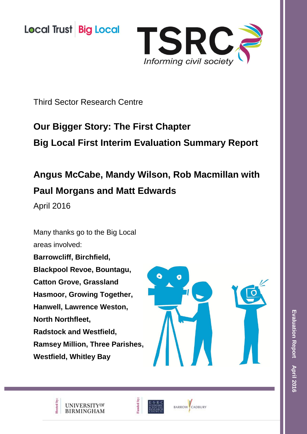**Local Trust Big Local** 



Third Sector Research Centre

# **Our Bigger Story: The First Chapter Big Local First Interim Evaluation Summary Report**

# **Angus McCabe, Mandy Wilson, Rob Macmillan with Paul Morgans and Matt Edwards**

April 2016

Many thanks go to the Big Local areas involved: **Barrowcliff, Birchfield, Blackpool Revoe, Bountagu, Catton Grove, Grassland Hasmoor, Growing Together, Hanwell, Lawrence Weston, North Northfleet, Radstock and Westfield, Ramsey Million, Three Parishes, Westfield, Whitley Bay**



**BARROW CADBURY** 

Evaluation Report April 2016 **Evaluation Report April 2016**



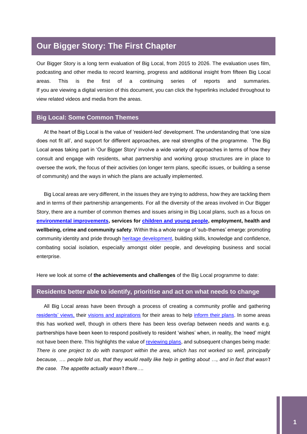# **Our Bigger Story: The First Chapter**

Our Bigger Story is a long term evaluation of Big Local, from 2015 to 2026. The evaluation uses film, podcasting and other media to record learning, progress and additional insight from fifteen Big Local areas. This is the first of a continuing series of reports and summaries. If you are viewing a digital version of this document, you can click the hyperlinks included throughout to view related videos and media from the areas.

# **Big Local: Some Common Themes**

At the heart of Big Local is the value of 'resident-led' development. The understanding that 'one size does not fit all', and support for different approaches, are real strengths of the programme. The Big Local areas taking part in 'Our Bigger Story' involve a wide variety of approaches in terms of how they consult and engage with residents, what partnership and working group structures are in place to oversee the work, the focus of their activities (on longer term plans, specific issues, or building a sense of community) and the ways in which the plans are actually implemented.

Big Local areas are very different, in the issues they are trying to address, how they are tackling them and in terms of their partnership arrangements. For all the diversity of the areas involved in Our Bigger Story, there are a number of common themes and issues arising in Big Local plans, such as a focus on **[environmental improvements,](https://vimeo.com/165578147?utm_source=email&utm_medium=vimeo-cliptranscode-201504&utm_campaign=29220) services for [children and young people,](https://youtu.be/i5hlqQ3D4ms) employment, health and wellbeing, crime and community safety**. Within this a whole range of 'sub-themes' emerge: promoting community identity and pride through [heritage development,](https://vimeo.com/149857074) building skills, knowledge and confidence, combating social isolation, especially amongst older people, and developing business and social enterprise.

Here we look at some of **the achievements and challenges** of the Big Local programme to date:

# **Residents better able to identify, prioritise and act on what needs to change**

All Big Local areas have been through a process of creating a community profile and gathering [residents' views,](https://youtu.be/faC4GpuYC0s) their [visions and aspirations](https://youtu.be/1KcMcr7TVd4) for their areas to help [inform their plans.](https://youtu.be/qXElgOQQLic) In some areas this has worked well, though in others there has been less overlap between needs and wants e.g. partnerships have been keen to respond positively to resident 'wishes' when, in reality, the 'need' might not have been there. This highlights the value of [reviewing plans,](https://youtu.be/YAEHoc_z1oU) and subsequent changes being made: *There is one project to do with transport within the area, which has not worked so well, principally*  because, .... people told us, that they would really like help in getting about ..., and in fact that wasn't *the case. The appetite actually wasn't there….*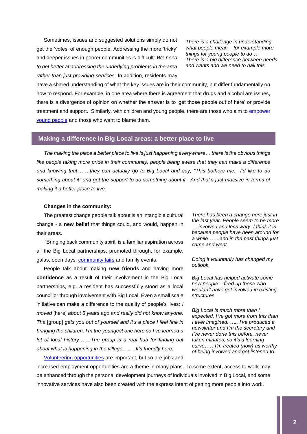Sometimes, issues and suggested solutions simply do not get the 'votes' of enough people. Addressing the more 'tricky' and deeper issues in poorer communities is difficult: *We need to get better at addressing the underlying problems in the area rather than just providing services.* In addition, residents may

*There is a challenge in understanding what people mean – for example more things for young people to do … There is a big difference between needs and wants and we need to nail this.*

have a shared understanding of what the key issues are in their community, but differ fundamentally on how to respond. For example, in one area where there is agreement that drugs and alcohol are issues, there is a divergence of opinion on whether the answer is to 'get those people out of here' or provide treatment and support. Similarly, with children and young people, there are those who aim to [empower](https://youtu.be/HXpiov1TxXY)  [young people](https://youtu.be/HXpiov1TxXY) and those who want to blame them.

### **Making a difference in Big Local areas: a better place to live**

*The making the place a better place to live is just happening everywhere… there is the obvious things like people taking more pride in their community, people being aware that they can make a difference and knowing that ……they can actually go to Big Local and say, "This bothers me. I'd like to do something about it" and get the support to do something about it. And that's just massive in terms of making it a better place to live.* 

#### **Changes in the community:**

The greatest change people talk about is an intangible cultural change - a **new belief** that things could, and would, happen in their areas.

'Bringing back community spirit' is a familiar aspiration across all the Big Local partnerships, promoted through, for example, galas, open days, [community fairs](https://youtu.be/0_cZzPD6y7g) and family events.

People talk about making **new friends** and having more **confidence** as a result of their involvement in the Big Local partnerships, e.g. a resident has successfully stood as a local councillor through involvement with Big Local. Even a small scale initiative can make a difference to the quality of people's lives: *I moved* [here] *about 5 years ago and really did not know anyone. The* [group] *gets you out of yourself and it's a place I feel fine in bringing the children. I'm the youngest one here so I've learned a lot of local history…….The group is a real hub for finding out about what is happening in the village……..It's friendly here.*

*There has been a change here just in the last year. People seem to be more … involved and less wary. I think it is because people have been around for a while…….and in the past things just came and went.*

*Doing it voluntarily has changed my outlook.* 

*Big Local has helped activate some new people – fired up those who wouldn't have got involved in existing structures.* 

*Big Local is much more than I expected. I've got more from this than I ever imagined. ….. I've produced a newsletter and I'm the secretary and I've never done this before, never taken minutes, so it's a learning curve……I'm treated (now) as worthy of being involved and get listened to.* 

[Volunteering opportunities](http://steamroommedia.co.uk/BBL-Interviews-540.mp4) are important, but so are jobs and

increased employment opportunities are a theme in many plans. To some extent, access to work may be enhanced through the personal development journeys of individuals involved in Big Local, and some innovative services have also been created with the express intent of getting more people into work.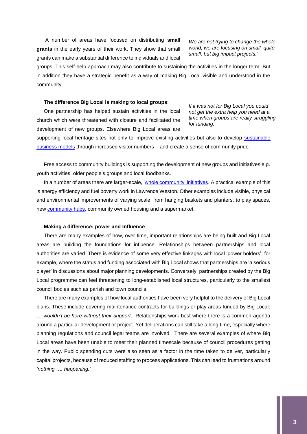A number of areas have focused on distributing **small grants** in the early years of their work. They show that small grants can make a substantial difference to individuals and local

*We are not trying to change the whole world, we are focusing on small, quite small, but big impact projects.'*

groups. This self-help approach may also contribute to sustaining the activities in the longer term. But in addition they have a strategic benefit as a way of making Big Local visible and understood in the community.

#### **The difference Big Local is making to local groups**:

One partnership has helped sustain activities in the local church which were threatened with closure and facilitated the development of new groups. Elsewhere Big Local areas are

*If it was not for Big Local you could not get the extra help you need at a time when groups are really struggling for funding.* 

supporting local heritage sites not only to improve existing activities but also to develop sustainable [business models](https://youtu.be/mdjNGnpi0SI) through increased visitor numbers – and create a sense of community pride.

Free access to community buildings is supporting the development of new groups and initiatives e.g. youth activities, older people's groups and local foodbanks.

In a number of areas there are larger-scale, ['whole community' initiatives.](https://youtu.be/UgadPKLtBXw) A practical example of this is energy efficiency and fuel poverty work in Lawrence Weston. Other examples include visible, physical and environmental improvements of varying scale: from hanging baskets and planters, to play spaces, new **community hubs**, community owned housing and a supermarket.

#### **Making a difference: power and Influence**

There are many examples of how, over time, important relationships are being built and Big Local areas are building the foundations for influence. Relationships between partnerships and local authorities are varied. There is evidence of some very effective linkages with local 'power holders', for example, where the status and funding associated with Big Local shows that partnerships are 'a serious player' in discussions about major planning developments. Conversely, partnerships created by the Big Local programme can feel threatening to long-established local structures, particularly to the smallest council bodies such as parish and town councils.

There are many examples of how local authorities have been very helpful to the delivery of Big Local plans. These include covering maintenance contracts for buildings or play areas funded by Big Local: *… wouldn't be here without their support*. Relationships work best where there is a common agenda around a particular development or project. Yet deliberations can still take a long time, especially where planning regulations and council legal teams are involved. There are several examples of where Big Local areas have been unable to meet their planned timescale because of council procedures getting in the way. Public spending cuts were also seen as a factor in the time taken to deliver, particularly capital projects, because of reduced staffing to process applications. This can lead to frustrations around *'nothing …. happening.'*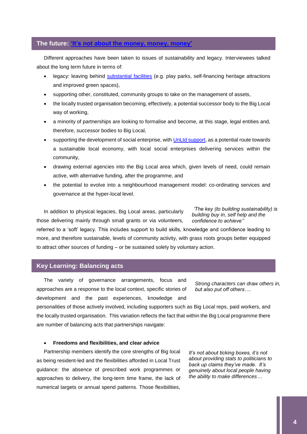# **The future: ['It's not about the money, money, money'](https://youtu.be/zDG9LVpqHuY)**

Different approaches have been taken to issues of sustainability and legacy. Interviewees talked about the long term future in terms of:

- legacy: leaving behind [substantial facilities](https://youtu.be/28iIRxHCP_E) (e.g. play parks, self-financing heritage attractions and improved green spaces),
- supporting other, constituted, community groups to take on the management of assets,
- the locally trusted organisation becoming, effectively, a potential successor body to the Big Local way of working,
- a minority of partnerships are looking to formalise and become, at this stage, legal entities and, therefore, successor bodies to Big Local,
- supporting the development of social enterprise, with [UnLtd support,](https://youtu.be/7iQLI9M_G1M) as a potential route towards a sustainable local economy, with local social enterprises delivering services within the community,
- drawing external agencies into the Big Local area which, given levels of need, could remain active, with alternative funding, after the programme, and
- the potential to evolve into a neighbourhood management model: co-ordinating services and governance at the hyper-local level.

In addition to physical legacies, Big Local areas, particularly those delivering mainly through small grants or via volunteers,

*'The key (to building sustainability) is building buy in, self help and the confidence to achieve''*

referred to a 'soft' legacy. This includes support to build skills, knowledge and confidence leading to more, and therefore sustainable, levels of community activity, with grass roots groups better equipped to attract other sources of funding – or be sustained solely by voluntary action.

# **Key Learning: Balancing acts**

The variety of governance arrangements, focus and approaches are a response to the local context, specific stories of development and the past experiences, knowledge and

*Strong characters can draw others in, but also put off others….*

personalities of those actively involved, including supporters such as Big Local reps, paid workers, and the locally trusted organisation. This variation reflects the fact that within the Big Local programme there are number of balancing acts that partnerships navigate:

#### **Freedoms and flexibilities, and clear advice**

Partnership members identify the core strengths of Big local as being resident-led and the flexibilities afforded in Local Trust guidance: the absence of prescribed work programmes or approaches to delivery, the long-term time frame, the lack of numerical targets or annual spend patterns. Those flexibilities,

*It's not about ticking boxes, it's not about providing stats to politicians to back up claims they've made. It's genuinely about local people having the ability to make differences…*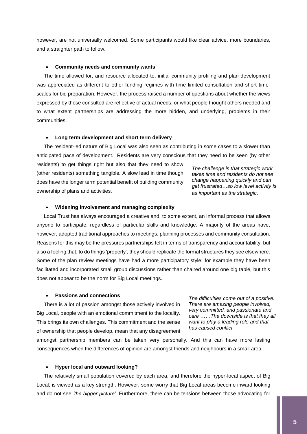however, are not universally welcomed. Some participants would like clear advice, more boundaries, and a straighter path to follow.

#### **Community needs and community wants**

The time allowed for, and resource allocated to, initial community profiling and plan development was appreciated as different to other funding regimes with time limited consultation and short timescales for bid preparation. However, the process raised a number of questions about whether the views expressed by those consulted are reflective of actual needs, or what people thought others needed and to what extent partnerships are addressing the more hidden, and underlying, problems in their communities.

#### **Long term development and short term delivery**

The resident-led nature of Big Local was also seen as contributing in some cases to a slower than anticipated pace of development. Residents are very conscious that they need to be seen (by other

residents) to get things right but also that they need to show (other residents) something tangible*.* A slow lead in time though does have the longer term potential benefit of building community ownership of plans and activities.

*The challenge is that strategic work takes time and residents do not see change happening quickly and can get frustrated…so low level activity is as important as the strategic.*

#### **Widening involvement and managing complexity**

Local Trust has always encouraged a creative and, to some extent, an informal process that allows anyone to participate, regardless of particular skills and knowledge. A majority of the areas have, however, adopted traditional approaches to meetings, planning processes and community consultation. Reasons for this may be the pressures partnerships felt in terms of transparency and accountability, but also a feeling that, to do things 'properly', they should replicate the formal structures they see elsewhere. Some of the plan review meetings have had a more participatory style; for example they have been facilitated and incorporated small group discussions rather than chaired around one big table, but this does not appear to be the norm for Big Local meetings.

#### **Passions and connections**

There is a lot of passion amongst those actively involved in Big Local, people with an emotional commitment to the locality. This brings its own challenges. This commitment and the sense of ownership that people develop, mean that any disagreement

*The difficulties come out of a positive. There are amazing people involved, very committed, and passionate and care ……The downside is that they all want to play a leading role and that has caused conflict*

amongst partnership members can be taken very personally. And this can have more lasting consequences when the differences of opinion are amongst friends and neighbours in a small area.

#### **Hyper local and outward looking?**

The relatively small population covered by each area, and therefore the hyper-local aspect of Big Local, is viewed as a key strength. However, some worry that Big Local areas become inward looking and do not see *'the bigger picture'.* Furthermore, there can be tensions between those advocating for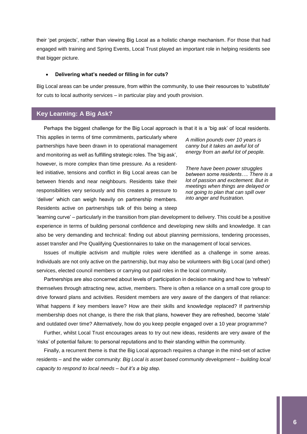their 'pet projects', rather than viewing Big Local as a holistic change mechanism. For those that had engaged with training and Spring Events, Local Trust played an important role in helping residents see that bigger picture.

#### **Delivering what's needed or filling in for cuts?**

Big Local areas can be under pressure, from within the community, to use their resources to 'substitute' for cuts to local authority services – in particular play and youth provision.

# **Key Learning: A Big Ask?**

Perhaps the biggest challenge for the Big Local approach is that it is a 'big ask' of local residents.

This applies in terms of time commitments, particularly where partnerships have been drawn in to operational management and monitoring as well as fulfilling strategic roles. The 'big ask', however, is more complex than time pressure. As a residentled initiative, tensions and conflict in Big Local areas can be between friends and near neighbours. Residents take their responsibilities very seriously and this creates a pressure to 'deliver' which can weigh heavily on partnership members. Residents active on partnerships talk of this being a steep

*A million pounds over 10 years is canny but it takes an awful lot of energy from an awful lot of people.*

*There have been power struggles between some residents…. There is a lot of passion and excitement. But in meetings when things are delayed or not going to plan that can spill over into anger and frustration.*

'learning curve' – particularly in the transition from plan development to delivery. This could be a positive experience in terms of building personal confidence and developing new skills and knowledge. It can also be very demanding and technical: finding out about planning permissions, tendering processes, asset transfer and Pre Qualifying Questionnaires to take on the management of local services.

Issues of multiple activism and multiple roles were identified as a challenge in some areas. Individuals are not only active on the partnership, but may also be volunteers with Big Local (and other) services, elected council members or carrying out paid roles in the local community.

Partnerships are also concerned about levels of participation in decision making and how to 'refresh' themselves through attracting new, active, members. There is often a reliance on a small core group to drive forward plans and activities. Resident members are very aware of the dangers of that reliance: What happens if key members leave? How are their skills and knowledge replaced? If partnership membership does not change, is there the risk that plans, however they are refreshed, become 'stale' and outdated over time? Alternatively, how do you keep people engaged over a 10 year programme?

Further, whilst Local Trust encourages areas to try out new ideas, residents are very aware of the 'risks' of potential failure: to personal reputations and to their standing within the community.

Finally, a recurrent theme is that the Big Local approach requires a change in the mind-set of active residents – and the wider community: *Big Local is asset based community development – building local capacity to respond to local needs – but it's a big step.*